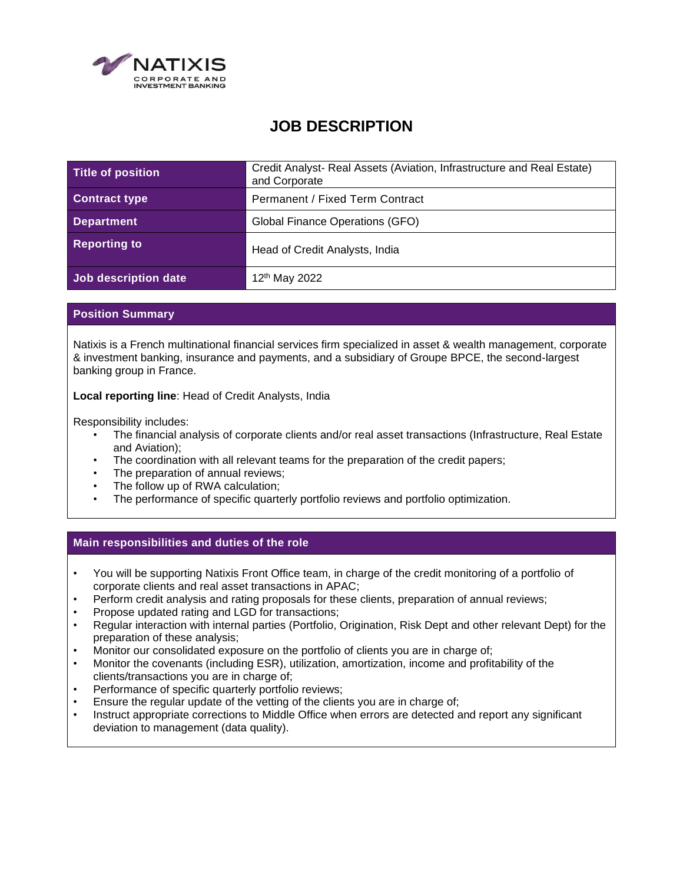

# **JOB DESCRIPTION**

| Title of position    | Credit Analyst- Real Assets (Aviation, Infrastructure and Real Estate)<br>and Corporate |
|----------------------|-----------------------------------------------------------------------------------------|
| <b>Contract type</b> | <b>Permanent / Fixed Term Contract</b>                                                  |
| <b>Department</b>    | Global Finance Operations (GFO)                                                         |
| <b>Reporting to</b>  | Head of Credit Analysts, India                                                          |
| Job description date | 12 <sup>th</sup> May 2022                                                               |

## **Position Summary**

Natixis is a French multinational financial services firm specialized in asset & wealth management, corporate & investment banking, insurance and payments, and a subsidiary of Groupe BPCE, the second-largest banking group in France.

**Local reporting line**: Head of Credit Analysts, India

Responsibility includes:

- The financial analysis of corporate clients and/or real asset transactions (Infrastructure, Real Estate and Aviation);
- The coordination with all relevant teams for the preparation of the credit papers;
- The preparation of annual reviews;
- The follow up of RWA calculation;
- The performance of specific quarterly portfolio reviews and portfolio optimization.

#### **Main responsibilities and duties of the role**

- You will be supporting Natixis Front Office team, in charge of the credit monitoring of a portfolio of corporate clients and real asset transactions in APAC;
- Perform credit analysis and rating proposals for these clients, preparation of annual reviews;
- Propose updated rating and LGD for transactions;
- Regular interaction with internal parties (Portfolio, Origination, Risk Dept and other relevant Dept) for the preparation of these analysis;
- Monitor our consolidated exposure on the portfolio of clients you are in charge of;
- Monitor the covenants (including ESR), utilization, amortization, income and profitability of the clients/transactions you are in charge of;
- Performance of specific quarterly portfolio reviews;
- Ensure the regular update of the vetting of the clients you are in charge of;
- Instruct appropriate corrections to Middle Office when errors are detected and report any significant deviation to management (data quality).